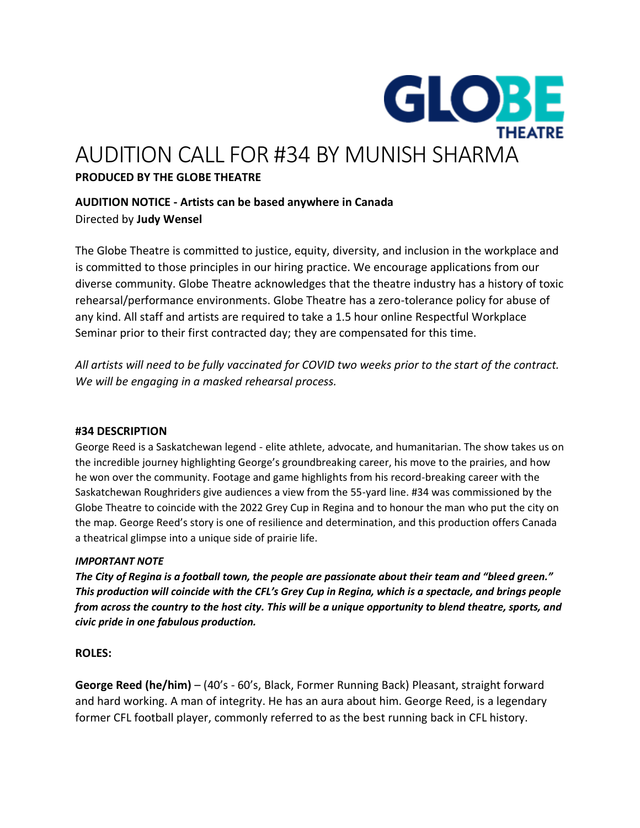

# AUDITION CALL FOR #34 BY MUNISH SHARMA

# **PRODUCED BY THE GLOBE THEATRE**

# **AUDITION NOTICE - Artists can be based anywhere in Canada** Directed by **Judy Wensel**

The Globe Theatre is committed to justice, equity, diversity, and inclusion in the workplace and is committed to those principles in our hiring practice. We encourage applications from our diverse community. Globe Theatre acknowledges that the theatre industry has a history of toxic rehearsal/performance environments. Globe Theatre has a zero-tolerance policy for abuse of any kind. All staff and artists are required to take a 1.5 hour online Respectful Workplace Seminar prior to their first contracted day; they are compensated for this time.

*All artists will need to be fully vaccinated for COVID two weeks prior to the start of the contract. We will be engaging in a masked rehearsal process.* 

# **#34 DESCRIPTION**

George Reed is a Saskatchewan legend - elite athlete, advocate, and humanitarian. The show takes us on the incredible journey highlighting George's groundbreaking career, his move to the prairies, and how he won over the community. Footage and game highlights from his record-breaking career with the Saskatchewan Roughriders give audiences a view from the 55-yard line. #34 was commissioned by the Globe Theatre to coincide with the 2022 Grey Cup in Regina and to honour the man who put the city on the map. George Reed's story is one of resilience and determination, and this production offers Canada a theatrical glimpse into a unique side of prairie life.

## *IMPORTANT NOTE*

*The City of Regina is a football town, the people are passionate about their team and "bleed green." This production will coincide with the CFL's Grey Cup in Regina, which is a spectacle, and brings people from across the country to the host city. This will be a unique opportunity to blend theatre, sports, and civic pride in one fabulous production.* 

# **ROLES:**

**George Reed (he/him)** – (40's - 60's, Black, Former Running Back) Pleasant, straight forward and hard working. A man of integrity. He has an aura about him. George Reed, is a legendary former CFL football player, commonly referred to as the best running back in CFL history.